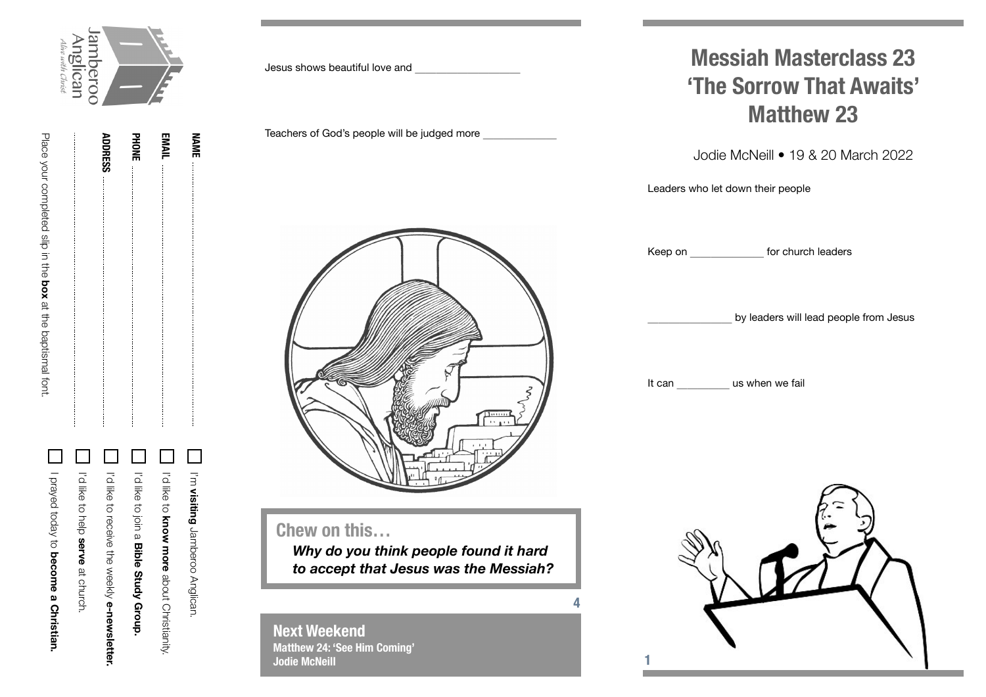

**NAME**

| <b>用于这种的过去式和过去分词的过去式和过去分词使用的过去式和过去分词使用的过去式和过去分词使用的过去分词使用的过去式和过去分词使使用使用的过去分词使使用的过去分词使使用的过去分词使用的过去分词使用的过去</b> | <b>ADDRESS</b> | 골을 | EMAIL |
|-------------------------------------------------------------------------------------------------------------|----------------|----|-------|
|                                                                                                             |                |    |       |

Place your completed slip in the

Place your completed slip in the box at the baptismal fort.

**box** at the baptismal font.

| Dirayed today to become a Christian.<br>I'd like to help serve at church. | I'd like to receive the weekly e-newsletter. | In the coller a Bible Study Group. | I'd like to know more about Christianity. | T I'm visiting Jamberoo Anglican. |
|---------------------------------------------------------------------------|----------------------------------------------|------------------------------------|-------------------------------------------|-----------------------------------|

Jesus shows beautiful love and \_\_\_\_\_\_\_\_\_\_

Teachers of God's people will be judged more



## **Chew on this…**

*Why do you think people found it hard to accept that Jesus was the Messiah?*

**4**

**Next Weekend Matthew 24: 'See Him Coming' Jodie McNeill**

## **Messiah Masterclass 23 'The Sorrow That Awaits' Matthew 23**

Jodie McNeill • 19 & 20 March 2022

Leaders who let down their people

Keep on **Exercise For church leaders** 

by leaders will lead people from Jesus

It can **us when we fail**